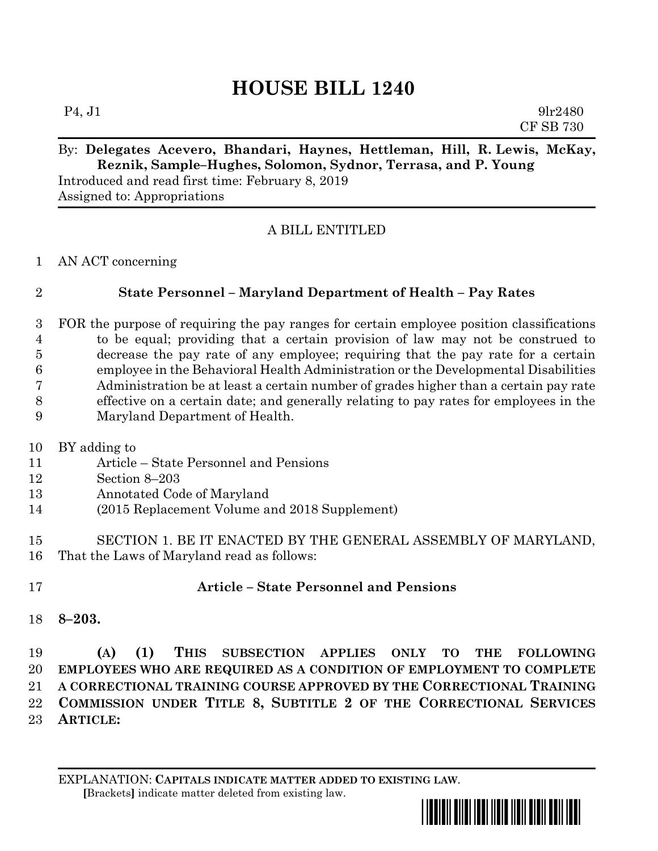# **HOUSE BILL 1240**

 $P_4, J_1$  9lr2480 CF SB 730

### By: **Delegates Acevero, Bhandari, Haynes, Hettleman, Hill, R. Lewis, McKay, Reznik, Sample–Hughes, Solomon, Sydnor, Terrasa, and P. Young**

Introduced and read first time: February 8, 2019 Assigned to: Appropriations

### A BILL ENTITLED

AN ACT concerning

### **State Personnel – Maryland Department of Health – Pay Rates**

 FOR the purpose of requiring the pay ranges for certain employee position classifications to be equal; providing that a certain provision of law may not be construed to decrease the pay rate of any employee; requiring that the pay rate for a certain employee in the Behavioral Health Administration or the Developmental Disabilities Administration be at least a certain number of grades higher than a certain pay rate effective on a certain date; and generally relating to pay rates for employees in the Maryland Department of Health.

- BY adding to
- Article State Personnel and Pensions
- Section 8–203
- Annotated Code of Maryland
- (2015 Replacement Volume and 2018 Supplement)
- SECTION 1. BE IT ENACTED BY THE GENERAL ASSEMBLY OF MARYLAND, That the Laws of Maryland read as follows:
- 

## **Article – State Personnel and Pensions**

**8–203.**

 **(A) (1) THIS SUBSECTION APPLIES ONLY TO THE FOLLOWING EMPLOYEES WHO ARE REQUIRED AS A CONDITION OF EMPLOYMENT TO COMPLETE A CORRECTIONAL TRAINING COURSE APPROVED BY THE CORRECTIONAL TRAINING COMMISSION UNDER TITLE 8, SUBTITLE 2 OF THE CORRECTIONAL SERVICES ARTICLE:**